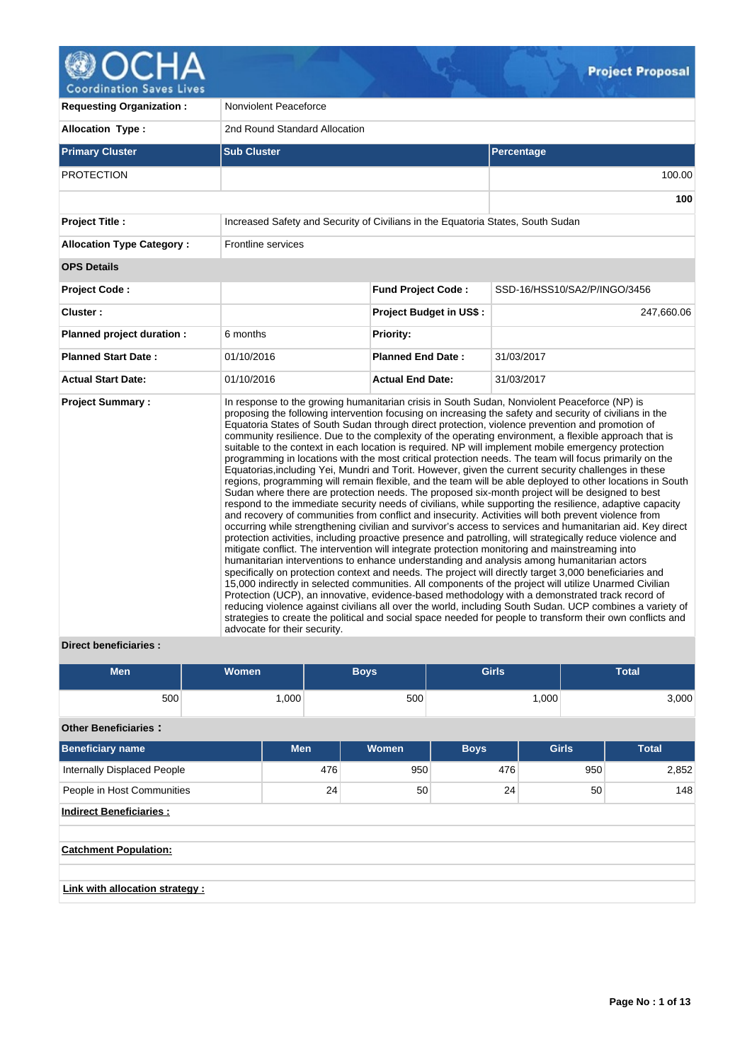

**Requesting Organization :** Nonviolent Peaceforce Allocation Type : 2nd Round Standard Allocation **Primary Cluster Sub Cluster Sub Cluster** Sub Cluster Sub Cluster Sub Cluster Sub Cluster Sub Cluster Sub Cluster PROTECTION 100.00 **100 Project Title :** Increased Safety and Security of Civilians in the Equatoria States, South Sudan **Allocation Type Category :** Frontline services **OPS Details Project Code : Fund Project Code :** SSD-16/HSS10/SA2/P/INGO/3456 **Cluster : Project Budget in US\$ :** 247,660.06 **Planned project duration :** 6 months **Priority: Planned Start Date :** 01/10/2016 **Planned End Date :** 31/03/2017 **Actual Start Date:** 01/10/2016 **Actual End Date:** 31/03/2017 **Project Summary :** In response to the growing humanitarian crisis in South Sudan, Nonviolent Peaceforce (NP) is proposing the following intervention focusing on increasing the safety and security of civilians in the Equatoria States of South Sudan through direct protection, violence prevention and promotion of community resilience. Due to the complexity of the operating environment, a flexible approach that is suitable to the context in each location is required. NP will implement mobile emergency protection programming in locations with the most critical protection needs. The team will focus primarily on the Equatorias,including Yei, Mundri and Torit. However, given the current security challenges in these regions, programming will remain flexible, and the team will be able deployed to other locations in South Sudan where there are protection needs. The proposed six-month project will be designed to best respond to the immediate security needs of civilians, while supporting the resilience, adaptive capacity and recovery of communities from conflict and insecurity. Activities will both prevent violence from occurring while strengthening civilian and survivor's access to services and humanitarian aid. Key direct protection activities, including proactive presence and patrolling, will strategically reduce violence and mitigate conflict. The intervention will integrate protection monitoring and mainstreaming into humanitarian interventions to enhance understanding and analysis among humanitarian actors specifically on protection context and needs. The project will directly target 3,000 beneficiaries and 15,000 indirectly in selected communities. All components of the project will utilize Unarmed Civilian Protection (UCP), an innovative, evidence-based methodology with a demonstrated track record of reducing violence against civilians all over the world, including South Sudan. UCP combines a variety of strategies to create the political and social space needed for people to transform their own conflicts and advocate for their security.

# **Direct beneficiaries :**

| <b>Men</b>                                                      | <b>Women</b> |            | <b>Boys</b> | <b>Girls</b> |              | <b>Total</b> |  |  |  |  |
|-----------------------------------------------------------------|--------------|------------|-------------|--------------|--------------|--------------|--|--|--|--|
| 500                                                             |              | 1,000      | 500         |              | 1,000        | 3,000        |  |  |  |  |
| <b>Other Beneficiaries:</b>                                     |              |            |             |              |              |              |  |  |  |  |
| Beneficiary name                                                |              | <b>Men</b> | Women       | <b>Boys</b>  | <b>Girls</b> | <b>Total</b> |  |  |  |  |
| Internally Displaced People                                     |              |            | 476<br>950  | 476          |              | 2,852<br>950 |  |  |  |  |
| People in Host Communities                                      |              |            | 50<br>24    | 24           |              | 50<br>148    |  |  |  |  |
| <b>Indirect Beneficiaries:</b>                                  |              |            |             |              |              |              |  |  |  |  |
| <b>Catchment Population:</b><br>Link with allocation strategy : |              |            |             |              |              |              |  |  |  |  |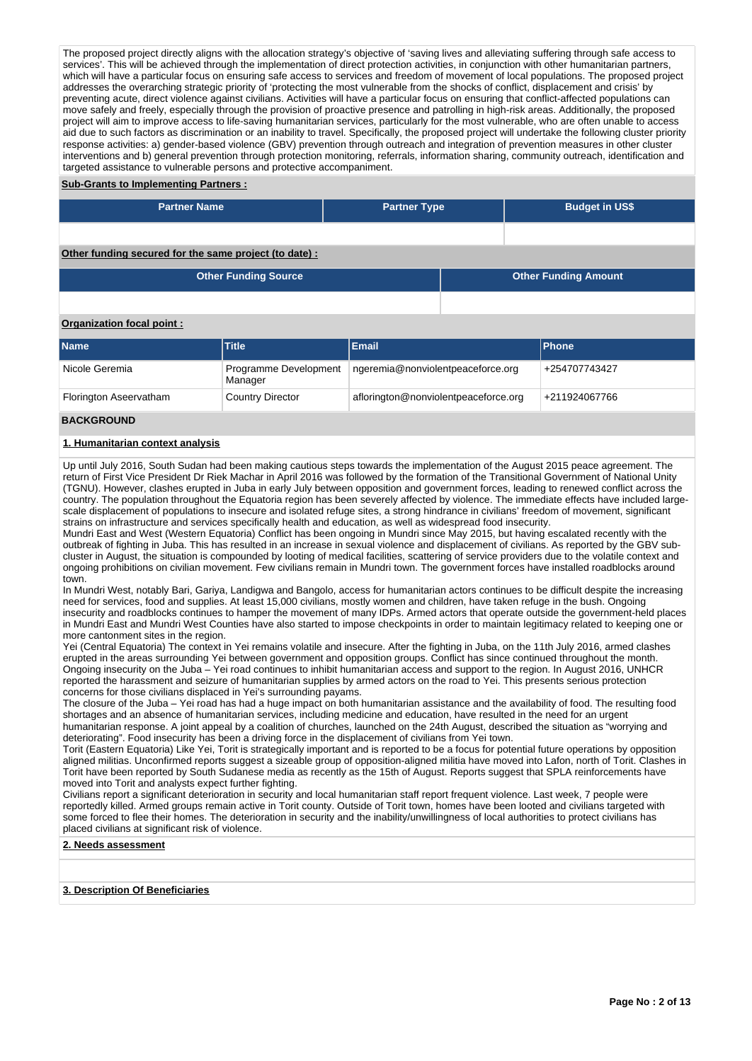The proposed project directly aligns with the allocation strategy's objective of 'saving lives and alleviating suffering through safe access to services'. This will be achieved through the implementation of direct protection activities, in conjunction with other humanitarian partners, which will have a particular focus on ensuring safe access to services and freedom of movement of local populations. The proposed project addresses the overarching strategic priority of 'protecting the most vulnerable from the shocks of conflict, displacement and crisis' by preventing acute, direct violence against civilians. Activities will have a particular focus on ensuring that conflict-affected populations can move safely and freely, especially through the provision of proactive presence and patrolling in high-risk areas. Additionally, the proposed project will aim to improve access to life-saving humanitarian services, particularly for the most vulnerable, who are often unable to access aid due to such factors as discrimination or an inability to travel. Specifically, the proposed project will undertake the following cluster priority response activities: a) gender-based violence (GBV) prevention through outreach and integration of prevention measures in other cluster interventions and b) general prevention through protection monitoring, referrals, information sharing, community outreach, identification and targeted assistance to vulnerable persons and protective accompaniment.

# **Sub-Grants to Implementing Partners :**

| <b>Partner Name</b>                                   | <b>Partner Type</b> |  | <b>Budget in US\$</b>       |  |  |  |  |  |  |
|-------------------------------------------------------|---------------------|--|-----------------------------|--|--|--|--|--|--|
|                                                       |                     |  |                             |  |  |  |  |  |  |
| Other funding secured for the same project (to date): |                     |  |                             |  |  |  |  |  |  |
| <b>Other Funding Source</b>                           |                     |  | <b>Other Funding Amount</b> |  |  |  |  |  |  |

# **Organization focal point :**

| <b>Name</b>            | Title                            | Email                                | <b>IPhone</b> |
|------------------------|----------------------------------|--------------------------------------|---------------|
| Nicole Geremia         | Programme Development<br>Manager | ngeremia@nonviolentpeaceforce.org    | +254707743427 |
| Florington Aseervatham | <b>Country Director</b>          | aflorington@nonviolentpeaceforce.org | +211924067766 |

#### **BACKGROUND**

#### **1. Humanitarian context analysis**

Up until July 2016, South Sudan had been making cautious steps towards the implementation of the August 2015 peace agreement. The return of First Vice President Dr Riek Machar in April 2016 was followed by the formation of the Transitional Government of National Unity (TGNU). However, clashes erupted in Juba in early July between opposition and government forces, leading to renewed conflict across the country. The population throughout the Equatoria region has been severely affected by violence. The immediate effects have included largescale displacement of populations to insecure and isolated refuge sites, a strong hindrance in civilians' freedom of movement, significant strains on infrastructure and services specifically health and education, as well as widespread food insecurity.

Mundri East and West (Western Equatoria) Conflict has been ongoing in Mundri since May 2015, but having escalated recently with the outbreak of fighting in Juba. This has resulted in an increase in sexual violence and displacement of civilians. As reported by the GBV subcluster in August, the situation is compounded by looting of medical facilities, scattering of service providers due to the volatile context and ongoing prohibitions on civilian movement. Few civilians remain in Mundri town. The government forces have installed roadblocks around town.

In Mundri West, notably Bari, Gariya, Landigwa and Bangolo, access for humanitarian actors continues to be difficult despite the increasing need for services, food and supplies. At least 15,000 civilians, mostly women and children, have taken refuge in the bush. Ongoing insecurity and roadblocks continues to hamper the movement of many IDPs. Armed actors that operate outside the government-held places in Mundri East and Mundri West Counties have also started to impose checkpoints in order to maintain legitimacy related to keeping one or more cantonment sites in the region.

Yei (Central Equatoria) The context in Yei remains volatile and insecure. After the fighting in Juba, on the 11th July 2016, armed clashes erupted in the areas surrounding Yei between government and opposition groups. Conflict has since continued throughout the month. Ongoing insecurity on the Juba – Yei road continues to inhibit humanitarian access and support to the region. In August 2016, UNHCR reported the harassment and seizure of humanitarian supplies by armed actors on the road to Yei. This presents serious protection concerns for those civilians displaced in Yei's surrounding payams.

The closure of the Juba – Yei road has had a huge impact on both humanitarian assistance and the availability of food. The resulting food shortages and an absence of humanitarian services, including medicine and education, have resulted in the need for an urgent humanitarian response. A joint appeal by a coalition of churches, launched on the 24th August, described the situation as "worrying and deteriorating". Food insecurity has been a driving force in the displacement of civilians from Yei town.

Torit (Eastern Equatoria) Like Yei, Torit is strategically important and is reported to be a focus for potential future operations by opposition aligned militias. Unconfirmed reports suggest a sizeable group of opposition-aligned militia have moved into Lafon, north of Torit. Clashes in Torit have been reported by South Sudanese media as recently as the 15th of August. Reports suggest that SPLA reinforcements have moved into Torit and analysts expect further fighting.

Civilians report a significant deterioration in security and local humanitarian staff report frequent violence. Last week, 7 people were reportedly killed. Armed groups remain active in Torit county. Outside of Torit town, homes have been looted and civilians targeted with some forced to flee their homes. The deterioration in security and the inability/unwillingness of local authorities to protect civilians has placed civilians at significant risk of violence.

# **2. Needs assessment**

#### **3. Description Of Beneficiaries**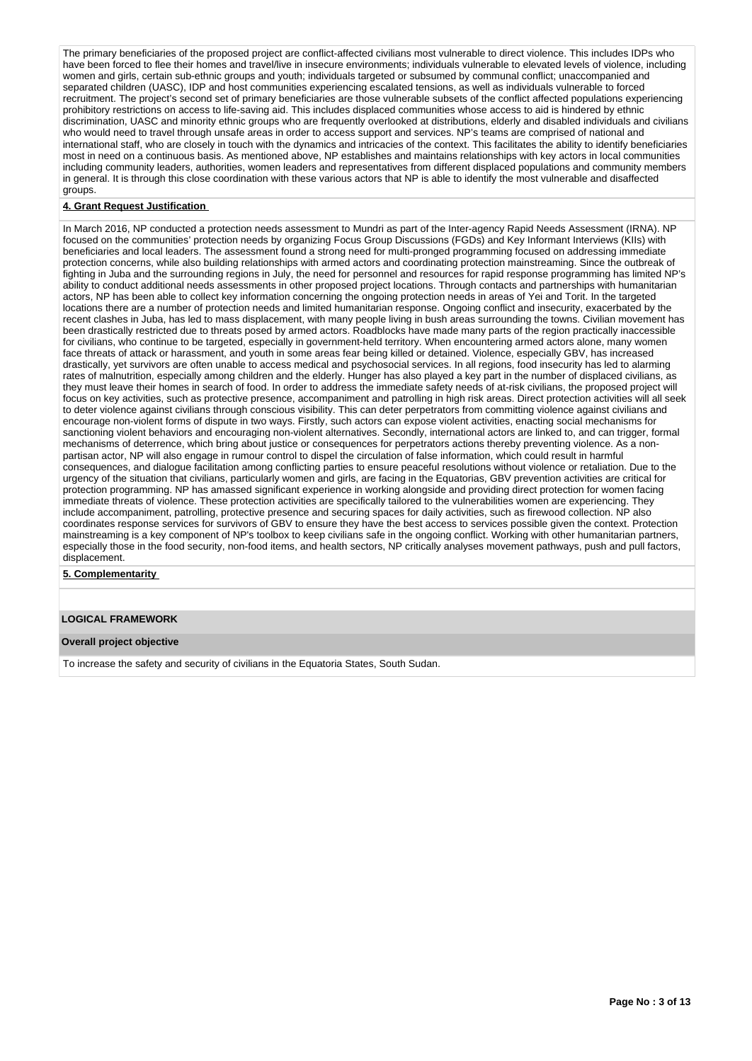The primary beneficiaries of the proposed project are conflict-affected civilians most vulnerable to direct violence. This includes IDPs who have been forced to flee their homes and travel/live in insecure environments; individuals vulnerable to elevated levels of violence, including women and girls, certain sub-ethnic groups and youth; individuals targeted or subsumed by communal conflict; unaccompanied and separated children (UASC), IDP and host communities experiencing escalated tensions, as well as individuals vulnerable to forced recruitment. The project's second set of primary beneficiaries are those vulnerable subsets of the conflict affected populations experiencing prohibitory restrictions on access to life-saving aid. This includes displaced communities whose access to aid is hindered by ethnic discrimination, UASC and minority ethnic groups who are frequently overlooked at distributions, elderly and disabled individuals and civilians who would need to travel through unsafe areas in order to access support and services. NP's teams are comprised of national and international staff, who are closely in touch with the dynamics and intricacies of the context. This facilitates the ability to identify beneficiaries most in need on a continuous basis. As mentioned above, NP establishes and maintains relationships with key actors in local communities including community leaders, authorities, women leaders and representatives from different displaced populations and community members in general. It is through this close coordination with these various actors that NP is able to identify the most vulnerable and disaffected groups.

## **4. Grant Request Justification**

In March 2016, NP conducted a protection needs assessment to Mundri as part of the Inter-agency Rapid Needs Assessment (IRNA). NP focused on the communities' protection needs by organizing Focus Group Discussions (FGDs) and Key Informant Interviews (KIIs) with beneficiaries and local leaders. The assessment found a strong need for multi-pronged programming focused on addressing immediate protection concerns, while also building relationships with armed actors and coordinating protection mainstreaming. Since the outbreak of fighting in Juba and the surrounding regions in July, the need for personnel and resources for rapid response programming has limited NP's ability to conduct additional needs assessments in other proposed project locations. Through contacts and partnerships with humanitarian actors, NP has been able to collect key information concerning the ongoing protection needs in areas of Yei and Torit. In the targeted locations there are a number of protection needs and limited humanitarian response. Ongoing conflict and insecurity, exacerbated by the recent clashes in Juba, has led to mass displacement, with many people living in bush areas surrounding the towns. Civilian movement has been drastically restricted due to threats posed by armed actors. Roadblocks have made many parts of the region practically inaccessible for civilians, who continue to be targeted, especially in government-held territory. When encountering armed actors alone, many women face threats of attack or harassment, and youth in some areas fear being killed or detained. Violence, especially GBV, has increased drastically, yet survivors are often unable to access medical and psychosocial services. In all regions, food insecurity has led to alarming rates of malnutrition, especially among children and the elderly. Hunger has also played a key part in the number of displaced civilians, as they must leave their homes in search of food. In order to address the immediate safety needs of at-risk civilians, the proposed project will focus on key activities, such as protective presence, accompaniment and patrolling in high risk areas. Direct protection activities will all seek to deter violence against civilians through conscious visibility. This can deter perpetrators from committing violence against civilians and encourage non-violent forms of dispute in two ways. Firstly, such actors can expose violent activities, enacting social mechanisms for sanctioning violent behaviors and encouraging non-violent alternatives. Secondly, international actors are linked to, and can trigger, formal mechanisms of deterrence, which bring about justice or consequences for perpetrators actions thereby preventing violence. As a nonpartisan actor, NP will also engage in rumour control to dispel the circulation of false information, which could result in harmful consequences, and dialogue facilitation among conflicting parties to ensure peaceful resolutions without violence or retaliation. Due to the urgency of the situation that civilians, particularly women and girls, are facing in the Equatorias, GBV prevention activities are critical for protection programming. NP has amassed significant experience in working alongside and providing direct protection for women facing immediate threats of violence. These protection activities are specifically tailored to the vulnerabilities women are experiencing. They include accompaniment, patrolling, protective presence and securing spaces for daily activities, such as firewood collection. NP also coordinates response services for survivors of GBV to ensure they have the best access to services possible given the context. Protection mainstreaming is a key component of NP's toolbox to keep civilians safe in the ongoing conflict. Working with other humanitarian partners, especially those in the food security, non-food items, and health sectors, NP critically analyses movement pathways, push and pull factors, displacement.

**5. Complementarity** 

#### **LOGICAL FRAMEWORK**

#### **Overall project objective**

To increase the safety and security of civilians in the Equatoria States, South Sudan.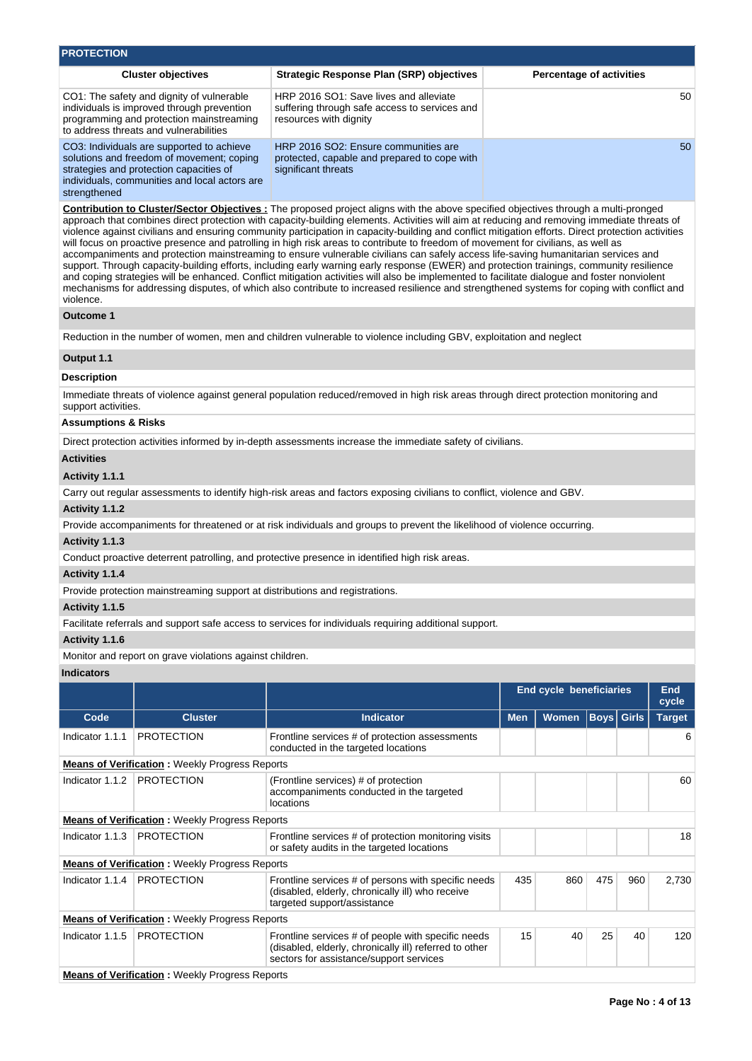| <b>PROTECTION</b>                                                                                                                                           |                                                                                                                                                                                    |                                                                                                                                                                                                                                                                                                                                                                                                                                                                                                                                                                                                                                                                                                                                                                                                                                                                                                                                                                                                                                                                                                                                                              |                          |                                 |                   |       |                     |  |  |  |  |
|-------------------------------------------------------------------------------------------------------------------------------------------------------------|------------------------------------------------------------------------------------------------------------------------------------------------------------------------------------|--------------------------------------------------------------------------------------------------------------------------------------------------------------------------------------------------------------------------------------------------------------------------------------------------------------------------------------------------------------------------------------------------------------------------------------------------------------------------------------------------------------------------------------------------------------------------------------------------------------------------------------------------------------------------------------------------------------------------------------------------------------------------------------------------------------------------------------------------------------------------------------------------------------------------------------------------------------------------------------------------------------------------------------------------------------------------------------------------------------------------------------------------------------|--------------------------|---------------------------------|-------------------|-------|---------------------|--|--|--|--|
|                                                                                                                                                             | <b>Cluster objectives</b>                                                                                                                                                          | <b>Strategic Response Plan (SRP) objectives</b>                                                                                                                                                                                                                                                                                                                                                                                                                                                                                                                                                                                                                                                                                                                                                                                                                                                                                                                                                                                                                                                                                                              |                          | <b>Percentage of activities</b> |                   |       |                     |  |  |  |  |
|                                                                                                                                                             | CO1: The safety and dignity of vulnerable<br>individuals is improved through prevention<br>programming and protection mainstreaming<br>to address threats and vulnerabilities      | HRP 2016 SO1: Save lives and alleviate<br>suffering through safe access to services and<br>resources with dignity                                                                                                                                                                                                                                                                                                                                                                                                                                                                                                                                                                                                                                                                                                                                                                                                                                                                                                                                                                                                                                            |                          |                                 |                   |       | 50                  |  |  |  |  |
| strengthened                                                                                                                                                | CO3: Individuals are supported to achieve<br>solutions and freedom of movement; coping<br>strategies and protection capacities of<br>individuals, communities and local actors are | HRP 2016 SO2: Ensure communities are<br>protected, capable and prepared to cope with<br>significant threats                                                                                                                                                                                                                                                                                                                                                                                                                                                                                                                                                                                                                                                                                                                                                                                                                                                                                                                                                                                                                                                  |                          |                                 |                   |       | 50                  |  |  |  |  |
| violence.                                                                                                                                                   |                                                                                                                                                                                    | Contribution to Cluster/Sector Objectives: The proposed project aligns with the above specified objectives through a multi-pronged<br>approach that combines direct protection with capacity-building elements. Activities will aim at reducing and removing immediate threats of<br>violence against civilians and ensuring community participation in capacity-building and conflict mitigation efforts. Direct protection activities<br>will focus on proactive presence and patrolling in high risk areas to contribute to freedom of movement for civilians, as well as<br>accompaniments and protection mainstreaming to ensure vulnerable civilians can safely access life-saving humanitarian services and<br>support. Through capacity-building efforts, including early warning early response (EWER) and protection trainings, community resilience<br>and coping strategies will be enhanced. Conflict mitigation activities will also be implemented to facilitate dialogue and foster nonviolent<br>mechanisms for addressing disputes, of which also contribute to increased resilience and strengthened systems for coping with conflict and |                          |                                 |                   |       |                     |  |  |  |  |
| <b>Outcome 1</b>                                                                                                                                            |                                                                                                                                                                                    |                                                                                                                                                                                                                                                                                                                                                                                                                                                                                                                                                                                                                                                                                                                                                                                                                                                                                                                                                                                                                                                                                                                                                              |                          |                                 |                   |       |                     |  |  |  |  |
|                                                                                                                                                             |                                                                                                                                                                                    | Reduction in the number of women, men and children vulnerable to violence including GBV, exploitation and neglect                                                                                                                                                                                                                                                                                                                                                                                                                                                                                                                                                                                                                                                                                                                                                                                                                                                                                                                                                                                                                                            |                          |                                 |                   |       |                     |  |  |  |  |
| Output 1.1                                                                                                                                                  |                                                                                                                                                                                    |                                                                                                                                                                                                                                                                                                                                                                                                                                                                                                                                                                                                                                                                                                                                                                                                                                                                                                                                                                                                                                                                                                                                                              |                          |                                 |                   |       |                     |  |  |  |  |
| <b>Description</b>                                                                                                                                          |                                                                                                                                                                                    |                                                                                                                                                                                                                                                                                                                                                                                                                                                                                                                                                                                                                                                                                                                                                                                                                                                                                                                                                                                                                                                                                                                                                              |                          |                                 |                   |       |                     |  |  |  |  |
| Immediate threats of violence against general population reduced/removed in high risk areas through direct protection monitoring and<br>support activities. |                                                                                                                                                                                    |                                                                                                                                                                                                                                                                                                                                                                                                                                                                                                                                                                                                                                                                                                                                                                                                                                                                                                                                                                                                                                                                                                                                                              |                          |                                 |                   |       |                     |  |  |  |  |
| Assumptions & Risks                                                                                                                                         |                                                                                                                                                                                    |                                                                                                                                                                                                                                                                                                                                                                                                                                                                                                                                                                                                                                                                                                                                                                                                                                                                                                                                                                                                                                                                                                                                                              |                          |                                 |                   |       |                     |  |  |  |  |
| Direct protection activities informed by in-depth assessments increase the immediate safety of civilians.                                                   |                                                                                                                                                                                    |                                                                                                                                                                                                                                                                                                                                                                                                                                                                                                                                                                                                                                                                                                                                                                                                                                                                                                                                                                                                                                                                                                                                                              |                          |                                 |                   |       |                     |  |  |  |  |
| <b>Activities</b>                                                                                                                                           |                                                                                                                                                                                    |                                                                                                                                                                                                                                                                                                                                                                                                                                                                                                                                                                                                                                                                                                                                                                                                                                                                                                                                                                                                                                                                                                                                                              |                          |                                 |                   |       |                     |  |  |  |  |
| Activity 1.1.1                                                                                                                                              |                                                                                                                                                                                    |                                                                                                                                                                                                                                                                                                                                                                                                                                                                                                                                                                                                                                                                                                                                                                                                                                                                                                                                                                                                                                                                                                                                                              |                          |                                 |                   |       |                     |  |  |  |  |
|                                                                                                                                                             |                                                                                                                                                                                    | Carry out regular assessments to identify high-risk areas and factors exposing civilians to conflict, violence and GBV.                                                                                                                                                                                                                                                                                                                                                                                                                                                                                                                                                                                                                                                                                                                                                                                                                                                                                                                                                                                                                                      |                          |                                 |                   |       |                     |  |  |  |  |
| Activity 1.1.2                                                                                                                                              |                                                                                                                                                                                    |                                                                                                                                                                                                                                                                                                                                                                                                                                                                                                                                                                                                                                                                                                                                                                                                                                                                                                                                                                                                                                                                                                                                                              |                          |                                 |                   |       |                     |  |  |  |  |
|                                                                                                                                                             |                                                                                                                                                                                    | Provide accompaniments for threatened or at risk individuals and groups to prevent the likelihood of violence occurring.                                                                                                                                                                                                                                                                                                                                                                                                                                                                                                                                                                                                                                                                                                                                                                                                                                                                                                                                                                                                                                     |                          |                                 |                   |       |                     |  |  |  |  |
| Activity 1.1.3                                                                                                                                              |                                                                                                                                                                                    |                                                                                                                                                                                                                                                                                                                                                                                                                                                                                                                                                                                                                                                                                                                                                                                                                                                                                                                                                                                                                                                                                                                                                              |                          |                                 |                   |       |                     |  |  |  |  |
|                                                                                                                                                             |                                                                                                                                                                                    | Conduct proactive deterrent patrolling, and protective presence in identified high risk areas.                                                                                                                                                                                                                                                                                                                                                                                                                                                                                                                                                                                                                                                                                                                                                                                                                                                                                                                                                                                                                                                               |                          |                                 |                   |       |                     |  |  |  |  |
| Activity 1.1.4                                                                                                                                              |                                                                                                                                                                                    |                                                                                                                                                                                                                                                                                                                                                                                                                                                                                                                                                                                                                                                                                                                                                                                                                                                                                                                                                                                                                                                                                                                                                              |                          |                                 |                   |       |                     |  |  |  |  |
|                                                                                                                                                             | Provide protection mainstreaming support at distributions and registrations.                                                                                                       |                                                                                                                                                                                                                                                                                                                                                                                                                                                                                                                                                                                                                                                                                                                                                                                                                                                                                                                                                                                                                                                                                                                                                              |                          |                                 |                   |       |                     |  |  |  |  |
| Activity 1.1.5                                                                                                                                              |                                                                                                                                                                                    |                                                                                                                                                                                                                                                                                                                                                                                                                                                                                                                                                                                                                                                                                                                                                                                                                                                                                                                                                                                                                                                                                                                                                              |                          |                                 |                   |       |                     |  |  |  |  |
|                                                                                                                                                             |                                                                                                                                                                                    | Facilitate referrals and support safe access to services for individuals requiring additional support.                                                                                                                                                                                                                                                                                                                                                                                                                                                                                                                                                                                                                                                                                                                                                                                                                                                                                                                                                                                                                                                       |                          |                                 |                   |       |                     |  |  |  |  |
| Activity 1.1.6                                                                                                                                              |                                                                                                                                                                                    |                                                                                                                                                                                                                                                                                                                                                                                                                                                                                                                                                                                                                                                                                                                                                                                                                                                                                                                                                                                                                                                                                                                                                              |                          |                                 |                   |       |                     |  |  |  |  |
| <b>Indicators</b>                                                                                                                                           | Monitor and report on grave violations against children.                                                                                                                           |                                                                                                                                                                                                                                                                                                                                                                                                                                                                                                                                                                                                                                                                                                                                                                                                                                                                                                                                                                                                                                                                                                                                                              |                          |                                 |                   |       |                     |  |  |  |  |
|                                                                                                                                                             |                                                                                                                                                                                    |                                                                                                                                                                                                                                                                                                                                                                                                                                                                                                                                                                                                                                                                                                                                                                                                                                                                                                                                                                                                                                                                                                                                                              |                          | <b>End cycle beneficiaries</b>  |                   |       | <b>End</b><br>cycle |  |  |  |  |
| Code                                                                                                                                                        | <b>Cluster</b>                                                                                                                                                                     | Indicator                                                                                                                                                                                                                                                                                                                                                                                                                                                                                                                                                                                                                                                                                                                                                                                                                                                                                                                                                                                                                                                                                                                                                    | <b>Men</b>               | <b>Women</b>                    | <b>Boys</b> Girls |       | <b>Target</b>       |  |  |  |  |
| Indicator 1.1.1                                                                                                                                             | <b>PROTECTION</b>                                                                                                                                                                  | Frontline services # of protection assessments<br>conducted in the targeted locations                                                                                                                                                                                                                                                                                                                                                                                                                                                                                                                                                                                                                                                                                                                                                                                                                                                                                                                                                                                                                                                                        |                          |                                 |                   |       | 6                   |  |  |  |  |
|                                                                                                                                                             | <b>Means of Verification : Weekly Progress Reports</b>                                                                                                                             |                                                                                                                                                                                                                                                                                                                                                                                                                                                                                                                                                                                                                                                                                                                                                                                                                                                                                                                                                                                                                                                                                                                                                              |                          |                                 |                   |       |                     |  |  |  |  |
| Indicator 1.1.2                                                                                                                                             | <b>PROTECTION</b>                                                                                                                                                                  | (Frontline services) # of protection<br>accompaniments conducted in the targeted<br>locations                                                                                                                                                                                                                                                                                                                                                                                                                                                                                                                                                                                                                                                                                                                                                                                                                                                                                                                                                                                                                                                                |                          |                                 |                   |       | 60                  |  |  |  |  |
|                                                                                                                                                             | <b>Means of Verification:</b> Weekly Progress Reports                                                                                                                              |                                                                                                                                                                                                                                                                                                                                                                                                                                                                                                                                                                                                                                                                                                                                                                                                                                                                                                                                                                                                                                                                                                                                                              |                          |                                 |                   |       |                     |  |  |  |  |
| Indicator 1.1.3                                                                                                                                             | <b>PROTECTION</b>                                                                                                                                                                  | Frontline services # of protection monitoring visits<br>or safety audits in the targeted locations                                                                                                                                                                                                                                                                                                                                                                                                                                                                                                                                                                                                                                                                                                                                                                                                                                                                                                                                                                                                                                                           |                          |                                 |                   |       | 18                  |  |  |  |  |
|                                                                                                                                                             | <b>Means of Verification:</b> Weekly Progress Reports                                                                                                                              |                                                                                                                                                                                                                                                                                                                                                                                                                                                                                                                                                                                                                                                                                                                                                                                                                                                                                                                                                                                                                                                                                                                                                              |                          |                                 |                   |       |                     |  |  |  |  |
| Indicator 1.1.4                                                                                                                                             | <b>PROTECTION</b>                                                                                                                                                                  | Frontline services # of persons with specific needs<br>(disabled, elderly, chronically ill) who receive<br>targeted support/assistance                                                                                                                                                                                                                                                                                                                                                                                                                                                                                                                                                                                                                                                                                                                                                                                                                                                                                                                                                                                                                       | 435<br>860<br>475<br>960 |                                 |                   | 2,730 |                     |  |  |  |  |
|                                                                                                                                                             | <b>Means of Verification:</b> Weekly Progress Reports                                                                                                                              |                                                                                                                                                                                                                                                                                                                                                                                                                                                                                                                                                                                                                                                                                                                                                                                                                                                                                                                                                                                                                                                                                                                                                              |                          |                                 |                   |       |                     |  |  |  |  |
| Indicator 1.1.5                                                                                                                                             | <b>PROTECTION</b>                                                                                                                                                                  | Frontline services # of people with specific needs<br>(disabled, elderly, chronically ill) referred to other<br>sectors for assistance/support services                                                                                                                                                                                                                                                                                                                                                                                                                                                                                                                                                                                                                                                                                                                                                                                                                                                                                                                                                                                                      | 15                       | 40                              | 25                | 40    | 120                 |  |  |  |  |
|                                                                                                                                                             |                                                                                                                                                                                    |                                                                                                                                                                                                                                                                                                                                                                                                                                                                                                                                                                                                                                                                                                                                                                                                                                                                                                                                                                                                                                                                                                                                                              |                          |                                 |                   |       |                     |  |  |  |  |

**Means of Verification :** Weekly Progress Reports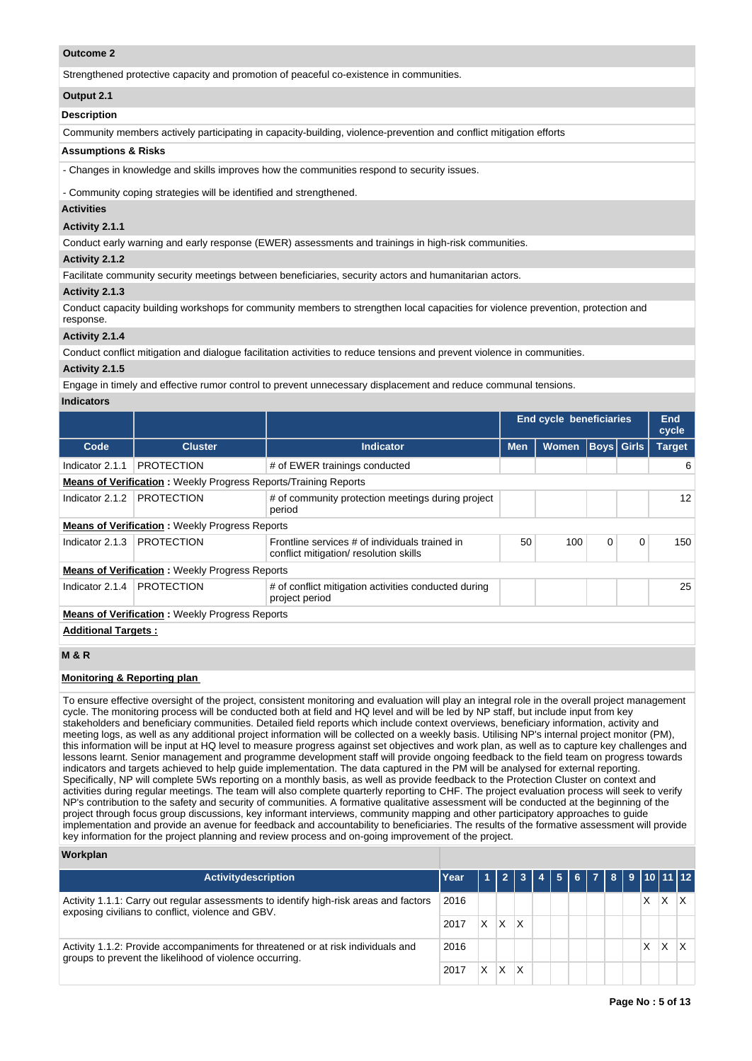## **Outcome 2**

Strengthened protective capacity and promotion of peaceful co-existence in communities.

#### **Output 2.1**

#### **Description**

Community members actively participating in capacity-building, violence-prevention and conflict mitigation efforts

#### **Assumptions & Risks**

- Changes in knowledge and skills improves how the communities respond to security issues.

- Community coping strategies will be identified and strengthened.

#### **Activities**

#### **Activity 2.1.1**

Conduct early warning and early response (EWER) assessments and trainings in high-risk communities.

## **Activity 2.1.2**

Facilitate community security meetings between beneficiaries, security actors and humanitarian actors.

#### **Activity 2.1.3**

Conduct capacity building workshops for community members to strengthen local capacities for violence prevention, protection and response.

#### **Activity 2.1.4**

Conduct conflict mitigation and dialogue facilitation activities to reduce tensions and prevent violence in communities.

#### **Activity 2.1.5**

Engage in timely and effective rumor control to prevent unnecessary displacement and reduce communal tensions.

# **Indicators**

|                            |                                                                        |                                                                                         | <b>End cycle beneficiaries</b> |              | End<br>cycle |                   |               |  |  |  |
|----------------------------|------------------------------------------------------------------------|-----------------------------------------------------------------------------------------|--------------------------------|--------------|--------------|-------------------|---------------|--|--|--|
| Code                       | <b>Cluster</b>                                                         | <b>Indicator</b>                                                                        | <b>Men</b>                     | <b>Women</b> |              | <b>Boys</b> Girls | <b>Target</b> |  |  |  |
| Indicator 2.1.1            | <b>PROTECTION</b>                                                      | # of EWER trainings conducted                                                           |                                |              |              |                   | 6             |  |  |  |
|                            | <b>Means of Verification:</b> Weekly Progress Reports/Training Reports |                                                                                         |                                |              |              |                   |               |  |  |  |
| Indicator 2.1.2            | <b>PROTECTION</b>                                                      | # of community protection meetings during project<br>period                             |                                |              |              |                   | 12            |  |  |  |
|                            | <b>Means of Verification:</b> Weekly Progress Reports                  |                                                                                         |                                |              |              |                   |               |  |  |  |
| Indicator 2.1.3            | <b>PROTECTION</b>                                                      | Frontline services # of individuals trained in<br>conflict mitigation/resolution skills | 50                             | 100          | 0            | $\mathbf 0$       | 150           |  |  |  |
|                            | <b>Means of Verification:</b> Weekly Progress Reports                  |                                                                                         |                                |              |              |                   |               |  |  |  |
| Indicator 2.1.4            | <b>PROTECTION</b>                                                      | # of conflict mitigation activities conducted during<br>project period                  |                                |              |              |                   | 25            |  |  |  |
|                            | <b>Means of Verification: Weekly Progress Reports</b>                  |                                                                                         |                                |              |              |                   |               |  |  |  |
| <b>Additional Targets:</b> |                                                                        |                                                                                         |                                |              |              |                   |               |  |  |  |

## **M & R**

#### **Monitoring & Reporting plan**

To ensure effective oversight of the project, consistent monitoring and evaluation will play an integral role in the overall project management cycle. The monitoring process will be conducted both at field and HQ level and will be led by NP staff, but include input from key stakeholders and beneficiary communities. Detailed field reports which include context overviews, beneficiary information, activity and meeting logs, as well as any additional project information will be collected on a weekly basis. Utilising NP's internal project monitor (PM), this information will be input at HQ level to measure progress against set objectives and work plan, as well as to capture key challenges and lessons learnt. Senior management and programme development staff will provide ongoing feedback to the field team on progress towards indicators and targets achieved to help guide implementation. The data captured in the PM will be analysed for external reporting. Specifically, NP will complete 5Ws reporting on a monthly basis, as well as provide feedback to the Protection Cluster on context and activities during regular meetings. The team will also complete quarterly reporting to CHF. The project evaluation process will seek to verify NP's contribution to the safety and security of communities. A formative qualitative assessment will be conducted at the beginning of the project through focus group discussions, key informant interviews, community mapping and other participatory approaches to guide implementation and provide an avenue for feedback and accountability to beneficiaries. The results of the formative assessment will provide key information for the project planning and review process and on-going improvement of the project.

#### **Workplan**

| <b>Activitydescription</b>                                                                                                                                  | Year |   |   | 1 2 3 4 5 6 7 8 9 10 11 12 |  |  |   |   |  |
|-------------------------------------------------------------------------------------------------------------------------------------------------------------|------|---|---|----------------------------|--|--|---|---|--|
| Activity 1.1.1: Carry out regular assessments to identify high-risk areas and factors<br>2016<br>exposing civilians to conflict, violence and GBV.<br>2017  |      |   |   |                            |  |  | X | х |  |
|                                                                                                                                                             |      | X | X |                            |  |  |   |   |  |
| 2016<br>Activity 1.1.2: Provide accompaniments for threatened or at risk individuals and<br>groups to prevent the likelihood of violence occurring.<br>2017 |      |   |   |                            |  |  | X | x |  |
|                                                                                                                                                             |      | X | Χ |                            |  |  |   |   |  |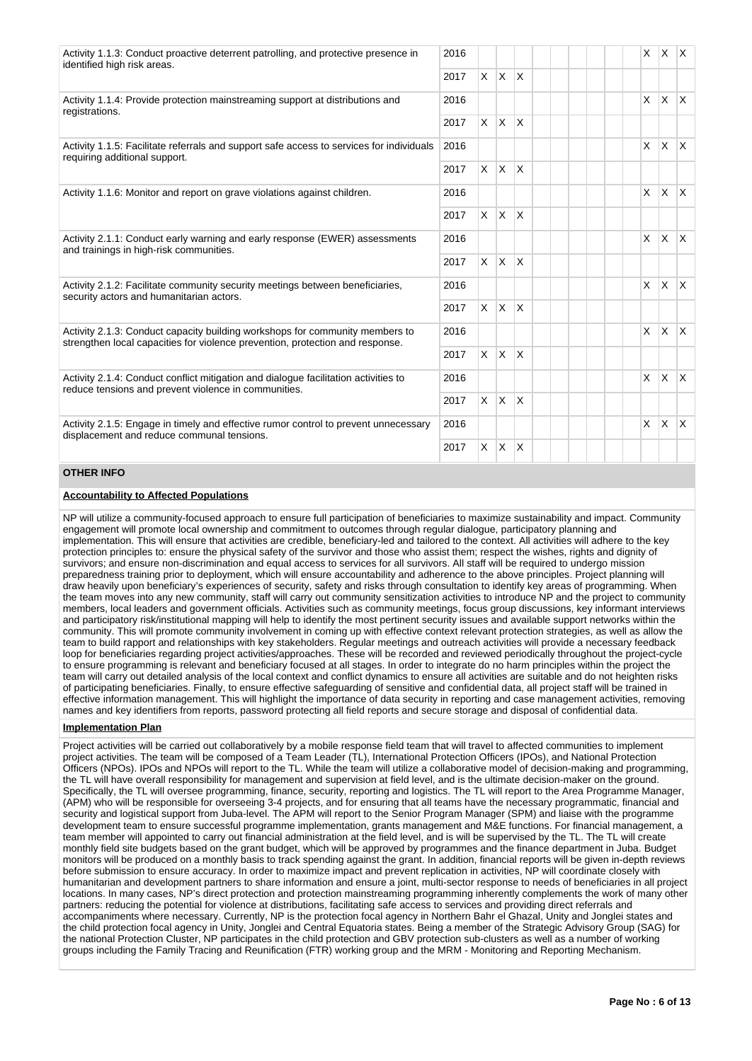| Activity 1.1.3: Conduct proactive deterrent patrolling, and protective presence in<br>identified high risk areas.                                             | 2016 |          |                |              |  | X            | X.           | X.             |
|---------------------------------------------------------------------------------------------------------------------------------------------------------------|------|----------|----------------|--------------|--|--------------|--------------|----------------|
|                                                                                                                                                               | 2017 |          | $X$ $X$ $X$    |              |  |              |              |                |
| Activity 1.1.4: Provide protection mainstreaming support at distributions and<br>registrations.                                                               | 2016 |          |                |              |  | $\mathsf{x}$ | <b>X</b>     | IX.            |
|                                                                                                                                                               | 2017 |          | $x \mid x$     | $\mathsf{X}$ |  |              |              |                |
| Activity 1.1.5: Facilitate referrals and support safe access to services for individuals<br>requiring additional support.                                     | 2016 |          |                |              |  | $\mathsf{x}$ | $\mathsf{X}$ | IX.            |
|                                                                                                                                                               | 2017 | $\times$ | $\mathsf{X}$   | ΙX.          |  |              |              |                |
| Activity 1.1.6: Monitor and report on grave violations against children.                                                                                      |      |          |                |              |  | $\times$     | X.           | $\mathsf{X}^-$ |
|                                                                                                                                                               |      | $\times$ | $\mathsf{X}$   | $\mathsf{X}$ |  |              |              |                |
| Activity 2.1.1: Conduct early warning and early response (EWER) assessments<br>and trainings in high-risk communities.                                        |      |          |                |              |  | X            | $\mathsf{X}$ | lx.            |
|                                                                                                                                                               | 2017 |          | $x \mathbf{x}$ | $\mathsf{X}$ |  |              |              |                |
| Activity 2.1.2: Facilitate community security meetings between beneficiaries,<br>security actors and humanitarian actors.                                     | 2016 |          |                |              |  | X            | X.           | X.             |
|                                                                                                                                                               | 2017 |          | $x \mid x$     | $\mathsf{X}$ |  |              |              |                |
| Activity 2.1.3: Conduct capacity building workshops for community members to<br>strengthen local capacities for violence prevention, protection and response. | 2016 |          |                |              |  | $\times$     | <b>X</b>     | <b>X</b>       |
|                                                                                                                                                               | 2017 |          | $X \mid X$     | $\mathsf{X}$ |  |              |              |                |
| Activity 2.1.4: Conduct conflict mitigation and dialogue facilitation activities to<br>reduce tensions and prevent violence in communities.                   | 2016 |          |                |              |  | $\mathsf{X}$ | <b>X</b>     | IX.            |
|                                                                                                                                                               | 2017 |          | $X$ $X$ $X$    |              |  |              |              |                |
| Activity 2.1.5: Engage in timely and effective rumor control to prevent unnecessary                                                                           | 2016 |          |                |              |  | $\mathsf{x}$ | X.           | IX.            |
| displacement and reduce communal tensions.<br>2017                                                                                                            |      | $\times$ | $\overline{X}$ | $\mathsf{X}$ |  |              |              |                |

# **OTHER INFO**

# **Accountability to Affected Populations**

NP will utilize a community-focused approach to ensure full participation of beneficiaries to maximize sustainability and impact. Community engagement will promote local ownership and commitment to outcomes through regular dialogue, participatory planning and implementation. This will ensure that activities are credible, beneficiary-led and tailored to the context. All activities will adhere to the key protection principles to: ensure the physical safety of the survivor and those who assist them; respect the wishes, rights and dignity of survivors; and ensure non-discrimination and equal access to services for all survivors. All staff will be required to undergo mission preparedness training prior to deployment, which will ensure accountability and adherence to the above principles. Project planning will draw heavily upon beneficiary's experiences of security, safety and risks through consultation to identify key areas of programming. When the team moves into any new community, staff will carry out community sensitization activities to introduce NP and the project to community members, local leaders and government officials. Activities such as community meetings, focus group discussions, key informant interviews and participatory risk/institutional mapping will help to identify the most pertinent security issues and available support networks within the community. This will promote community involvement in coming up with effective context relevant protection strategies, as well as allow the team to build rapport and relationships with key stakeholders. Regular meetings and outreach activities will provide a necessary feedback loop for beneficiaries regarding project activities/approaches. These will be recorded and reviewed periodically throughout the project-cycle to ensure programming is relevant and beneficiary focused at all stages. In order to integrate do no harm principles within the project the team will carry out detailed analysis of the local context and conflict dynamics to ensure all activities are suitable and do not heighten risks of participating beneficiaries. Finally, to ensure effective safeguarding of sensitive and confidential data, all project staff will be trained in effective information management. This will highlight the importance of data security in reporting and case management activities, removing names and key identifiers from reports, password protecting all field reports and secure storage and disposal of confidential data.

# **Implementation Plan**

Project activities will be carried out collaboratively by a mobile response field team that will travel to affected communities to implement project activities. The team will be composed of a Team Leader (TL), International Protection Officers (IPOs), and National Protection Officers (NPOs). IPOs and NPOs will report to the TL. While the team will utilize a collaborative model of decision-making and programming, the TL will have overall responsibility for management and supervision at field level, and is the ultimate decision-maker on the ground. Specifically, the TL will oversee programming, finance, security, reporting and logistics. The TL will report to the Area Programme Manager, (APM) who will be responsible for overseeing 3-4 projects, and for ensuring that all teams have the necessary programmatic, financial and security and logistical support from Juba-level. The APM will report to the Senior Program Manager (SPM) and liaise with the programme development team to ensure successful programme implementation, grants management and M&E functions. For financial management, a team member will appointed to carry out financial administration at the field level, and is will be supervised by the TL. The TL will create monthly field site budgets based on the grant budget, which will be approved by programmes and the finance department in Juba. Budget monitors will be produced on a monthly basis to track spending against the grant. In addition, financial reports will be given in-depth reviews before submission to ensure accuracy. In order to maximize impact and prevent replication in activities, NP will coordinate closely with humanitarian and development partners to share information and ensure a joint, multi-sector response to needs of beneficiaries in all project locations. In many cases, NP's direct protection and protection mainstreaming programming inherently complements the work of many other partners: reducing the potential for violence at distributions, facilitating safe access to services and providing direct referrals and accompaniments where necessary. Currently, NP is the protection focal agency in Northern Bahr el Ghazal, Unity and Jonglei states and the child protection focal agency in Unity, Jonglei and Central Equatoria states. Being a member of the Strategic Advisory Group (SAG) for the national Protection Cluster, NP participates in the child protection and GBV protection sub-clusters as well as a number of working groups including the Family Tracing and Reunification (FTR) working group and the MRM - Monitoring and Reporting Mechanism.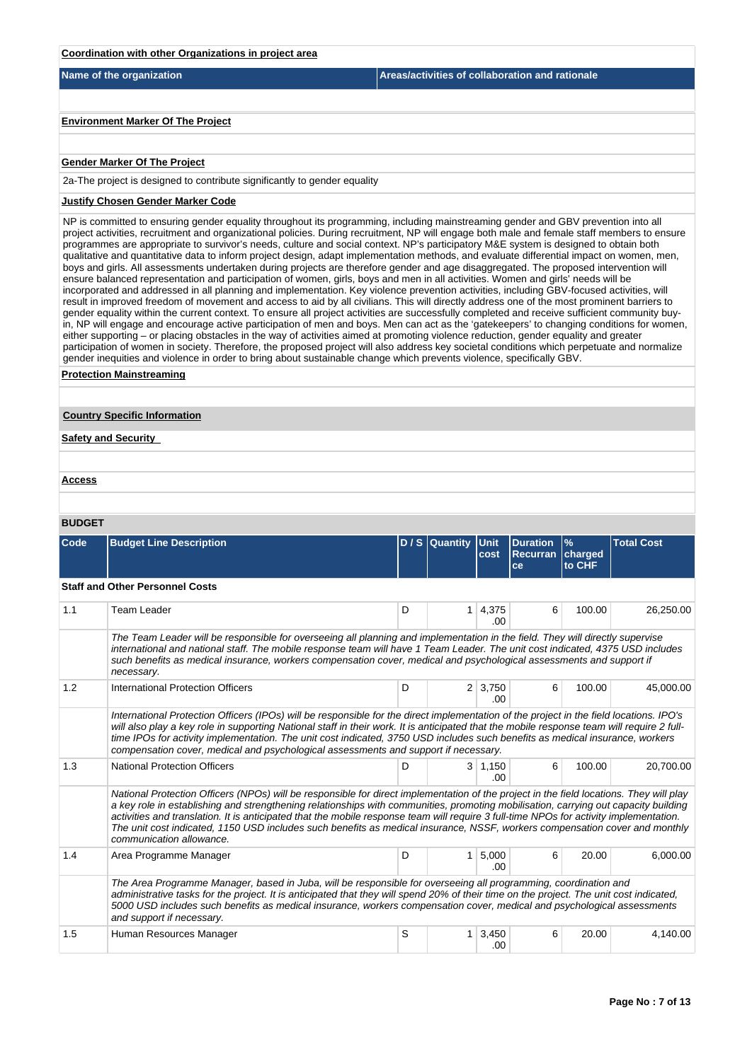| Coordination with other Organizations in project area |                                                 |
|-------------------------------------------------------|-------------------------------------------------|
| Name of the organization                              | Areas/activities of collaboration and rationale |
|                                                       |                                                 |
| <b>Environment Marker Of The Project</b>              |                                                 |
|                                                       |                                                 |
| <b>Gender Marker Of The Project</b>                   |                                                 |

2a-The project is designed to contribute significantly to gender equality

# **Justify Chosen Gender Marker Code**

NP is committed to ensuring gender equality throughout its programming, including mainstreaming gender and GBV prevention into all project activities, recruitment and organizational policies. During recruitment, NP will engage both male and female staff members to ensure programmes are appropriate to survivor's needs, culture and social context. NP's participatory M&E system is designed to obtain both qualitative and quantitative data to inform project design, adapt implementation methods, and evaluate differential impact on women, men, boys and girls. All assessments undertaken during projects are therefore gender and age disaggregated. The proposed intervention will ensure balanced representation and participation of women, girls, boys and men in all activities. Women and girls' needs will be incorporated and addressed in all planning and implementation. Key violence prevention activities, including GBV-focused activities, will result in improved freedom of movement and access to aid by all civilians. This will directly address one of the most prominent barriers to gender equality within the current context. To ensure all project activities are successfully completed and receive sufficient community buyin, NP will engage and encourage active participation of men and boys. Men can act as the 'gatekeepers' to changing conditions for women, either supporting – or placing obstacles in the way of activities aimed at promoting violence reduction, gender equality and greater participation of women in society. Therefore, the proposed project will also address key societal conditions which perpetuate and normalize gender inequities and violence in order to bring about sustainable change which prevents violence, specifically GBV.

#### **Protection Mainstreaming**

# **Country Specific Information**

# **Safety and Security**

#### **Access**

## **BUDGET**

| Code | <b>Budget Line Description</b>                                                                                                                                                                                                                                                                                                                                                                                                                                                                                                                                                      |   | D / S Quantity Unit | cost                   | <b>Duration</b><br><b>Recurran charged</b><br>ce | $\frac{9}{6}$<br>to CHF | <b>Total Cost</b> |  |  |  |
|------|-------------------------------------------------------------------------------------------------------------------------------------------------------------------------------------------------------------------------------------------------------------------------------------------------------------------------------------------------------------------------------------------------------------------------------------------------------------------------------------------------------------------------------------------------------------------------------------|---|---------------------|------------------------|--------------------------------------------------|-------------------------|-------------------|--|--|--|
|      | <b>Staff and Other Personnel Costs</b>                                                                                                                                                                                                                                                                                                                                                                                                                                                                                                                                              |   |                     |                        |                                                  |                         |                   |  |  |  |
| 1.1  | <b>Team Leader</b>                                                                                                                                                                                                                                                                                                                                                                                                                                                                                                                                                                  | D | 1                   | 4,375<br>.00           | 6                                                | 100.00                  | 26,250.00         |  |  |  |
|      | The Team Leader will be responsible for overseeing all planning and implementation in the field. They will directly supervise<br>international and national staff. The mobile response team will have 1 Team Leader. The unit cost indicated, 4375 USD includes<br>such benefits as medical insurance, workers compensation cover, medical and psychological assessments and support if<br>necessary.                                                                                                                                                                               |   |                     |                        |                                                  |                         |                   |  |  |  |
| 1.2  | International Protection Officers                                                                                                                                                                                                                                                                                                                                                                                                                                                                                                                                                   | D |                     | $2 \mid 3.750$<br>.00. | 6                                                | 100.00                  | 45,000.00         |  |  |  |
|      | International Protection Officers (IPOs) will be responsible for the direct implementation of the project in the field locations. IPO's<br>will also play a key role in supporting National staff in their work. It is anticipated that the mobile response team will require 2 full-<br>time IPOs for activity implementation. The unit cost indicated, 3750 USD includes such benefits as medical insurance, workers<br>compensation cover, medical and psychological assessments and support if necessary.                                                                       |   |                     |                        |                                                  |                         |                   |  |  |  |
| 1.3  | <b>National Protection Officers</b>                                                                                                                                                                                                                                                                                                                                                                                                                                                                                                                                                 | D |                     | $3 \mid 1,150$<br>.00. | 6                                                | 100.00                  | 20,700.00         |  |  |  |
|      | National Protection Officers (NPOs) will be responsible for direct implementation of the project in the field locations. They will play<br>a key role in establishing and strengthening relationships with communities, promoting mobilisation, carrying out capacity building<br>activities and translation. It is anticipated that the mobile response team will require 3 full-time NPOs for activity implementation.<br>The unit cost indicated, 1150 USD includes such benefits as medical insurance, NSSF, workers compensation cover and monthly<br>communication allowance. |   |                     |                        |                                                  |                         |                   |  |  |  |
| 1.4  | Area Programme Manager                                                                                                                                                                                                                                                                                                                                                                                                                                                                                                                                                              | D | 1 <sup>1</sup>      | 5,000<br>.00.          | 6                                                | 20.00                   | 6,000.00          |  |  |  |
|      | The Area Programme Manager, based in Juba, will be responsible for overseeing all programming, coordination and<br>administrative tasks for the project. It is anticipated that they will spend 20% of their time on the project. The unit cost indicated,<br>5000 USD includes such benefits as medical insurance, workers compensation cover, medical and psychological assessments<br>and support if necessary.                                                                                                                                                                  |   |                     |                        |                                                  |                         |                   |  |  |  |
| 1.5  | Human Resources Manager                                                                                                                                                                                                                                                                                                                                                                                                                                                                                                                                                             | S | 1 <sup>1</sup>      | 3,450<br>.00           | 6                                                | 20.00                   | 4.140.00          |  |  |  |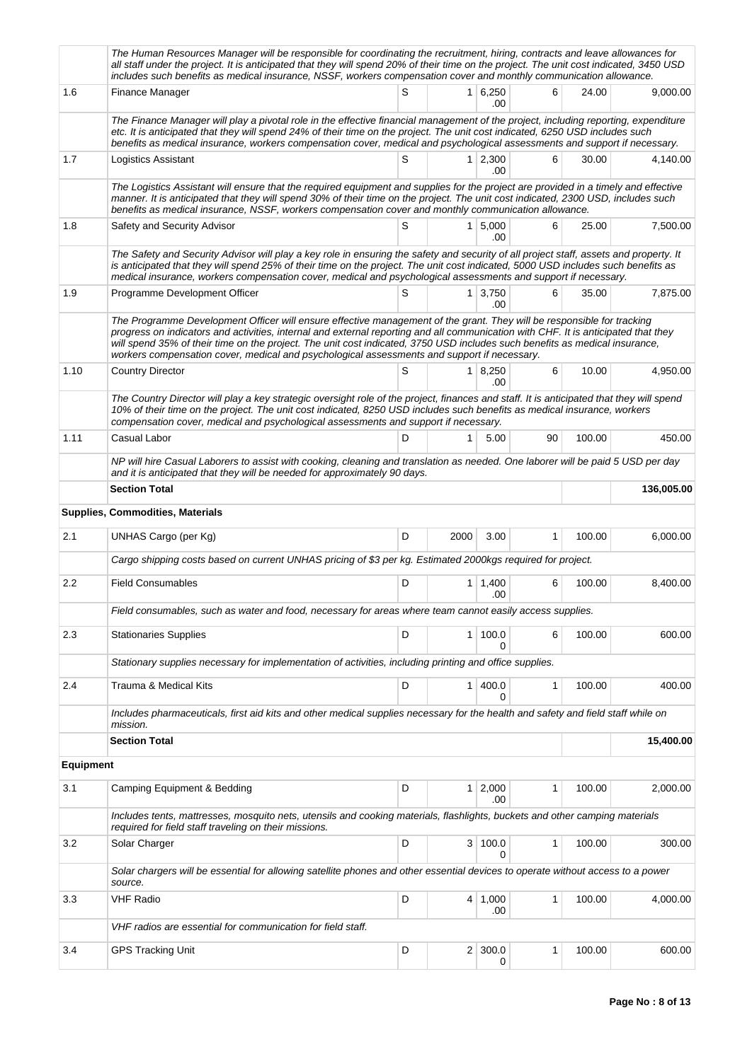|                  | The Human Resources Manager will be responsible for coordinating the recruitment, hiring, contracts and leave allowances for<br>all staff under the project. It is anticipated that they will spend 20% of their time on the project. The unit cost indicated, 3450 USD<br>includes such benefits as medical insurance, NSSF, workers compensation cover and monthly communication allowance.                                                                                              |   |                |                        |              |        |            |
|------------------|--------------------------------------------------------------------------------------------------------------------------------------------------------------------------------------------------------------------------------------------------------------------------------------------------------------------------------------------------------------------------------------------------------------------------------------------------------------------------------------------|---|----------------|------------------------|--------------|--------|------------|
| 1.6              | Finance Manager                                                                                                                                                                                                                                                                                                                                                                                                                                                                            | S |                | 1 6,250<br>.00         | 6            | 24.00  | 9,000.00   |
|                  | The Finance Manager will play a pivotal role in the effective financial management of the project, including reporting, expenditure<br>etc. It is anticipated that they will spend 24% of their time on the project. The unit cost indicated, 6250 USD includes such<br>benefits as medical insurance, workers compensation cover, medical and psychological assessments and support if necessary.                                                                                         |   |                |                        |              |        |            |
| 1.7              | Logistics Assistant                                                                                                                                                                                                                                                                                                                                                                                                                                                                        | S |                | $1 \mid 2,300$<br>.00  | 6            | 30.00  | 4,140.00   |
|                  | The Logistics Assistant will ensure that the required equipment and supplies for the project are provided in a timely and effective<br>manner. It is anticipated that they will spend 30% of their time on the project. The unit cost indicated, 2300 USD, includes such<br>benefits as medical insurance, NSSF, workers compensation cover and monthly communication allowance.                                                                                                           |   |                |                        |              |        |            |
| 1.8              | Safety and Security Advisor                                                                                                                                                                                                                                                                                                                                                                                                                                                                | S |                | $1 \mid 5,000$<br>.00. | 6            | 25.00  | 7,500.00   |
|                  | The Safety and Security Advisor will play a key role in ensuring the safety and security of all project staff, assets and property. It<br>is anticipated that they will spend 25% of their time on the project. The unit cost indicated, 5000 USD includes such benefits as<br>medical insurance, workers compensation cover, medical and psychological assessments and support if necessary.                                                                                              |   |                |                        |              |        |            |
| 1.9              | Programme Development Officer                                                                                                                                                                                                                                                                                                                                                                                                                                                              | S |                | $1 \mid 3.750$<br>.00  | 6            | 35.00  | 7,875.00   |
|                  | The Programme Development Officer will ensure effective management of the grant. They will be responsible for tracking<br>progress on indicators and activities, internal and external reporting and all communication with CHF. It is anticipated that they<br>will spend 35% of their time on the project. The unit cost indicated, 3750 USD includes such benefits as medical insurance,<br>workers compensation cover, medical and psychological assessments and support if necessary. |   |                |                        |              |        |            |
| 1.10             | <b>Country Director</b>                                                                                                                                                                                                                                                                                                                                                                                                                                                                    | S |                | 1 8,250<br>.00         | 6            | 10.00  | 4.950.00   |
|                  | The Country Director will play a key strategic oversight role of the project, finances and staff. It is anticipated that they will spend<br>10% of their time on the project. The unit cost indicated, 8250 USD includes such benefits as medical insurance, workers<br>compensation cover, medical and psychological assessments and support if necessary.                                                                                                                                |   |                |                        |              |        |            |
| 1.11             | Casual Labor                                                                                                                                                                                                                                                                                                                                                                                                                                                                               | D | 1              | 5.00                   | 90           | 100.00 | 450.00     |
|                  | NP will hire Casual Laborers to assist with cooking, cleaning and translation as needed. One laborer will be paid 5 USD per day<br>and it is anticipated that they will be needed for approximately 90 days.                                                                                                                                                                                                                                                                               |   |                |                        |              |        |            |
|                  | <b>Section Total</b>                                                                                                                                                                                                                                                                                                                                                                                                                                                                       |   |                |                        |              |        | 136,005.00 |
|                  | Supplies, Commodities, Materials                                                                                                                                                                                                                                                                                                                                                                                                                                                           |   |                |                        |              |        |            |
| 2.1              | UNHAS Cargo (per Kg)                                                                                                                                                                                                                                                                                                                                                                                                                                                                       | D | 2000           | 3.00                   | $\mathbf{1}$ | 100.00 | 6,000.00   |
|                  | Cargo shipping costs based on current UNHAS pricing of \$3 per kg. Estimated 2000kgs required for project.                                                                                                                                                                                                                                                                                                                                                                                 |   |                |                        |              |        |            |
| $2.2\,$          | <b>Field Consumables</b>                                                                                                                                                                                                                                                                                                                                                                                                                                                                   | D |                | $1 \mid 1,400$<br>.00  | 6            | 100.00 | 8,400.00   |
|                  | Field consumables, such as water and food, necessary for areas where team cannot easily access supplies.                                                                                                                                                                                                                                                                                                                                                                                   |   |                |                        |              |        |            |
| 2.3              | <b>Stationaries Supplies</b>                                                                                                                                                                                                                                                                                                                                                                                                                                                               | D |                | 1 100.0<br>0           | 6            | 100.00 | 600.00     |
|                  | Stationary supplies necessary for implementation of activities, including printing and office supplies.                                                                                                                                                                                                                                                                                                                                                                                    |   |                |                        |              |        |            |
| 2.4              | Trauma & Medical Kits                                                                                                                                                                                                                                                                                                                                                                                                                                                                      | D | 1 <sup>1</sup> | 400.0<br>0             | 1            | 100.00 | 400.00     |
|                  | Includes pharmaceuticals, first aid kits and other medical supplies necessary for the health and safety and field staff while on<br>mission.                                                                                                                                                                                                                                                                                                                                               |   |                |                        |              |        |            |
|                  | <b>Section Total</b>                                                                                                                                                                                                                                                                                                                                                                                                                                                                       |   |                |                        |              |        | 15,400.00  |
| <b>Equipment</b> |                                                                                                                                                                                                                                                                                                                                                                                                                                                                                            |   |                |                        |              |        |            |
| 3.1              | Camping Equipment & Bedding                                                                                                                                                                                                                                                                                                                                                                                                                                                                | D | 1 <sup>1</sup> | 2,000<br>.00           | 1            | 100.00 | 2,000.00   |
|                  | Includes tents, mattresses, mosquito nets, utensils and cooking materials, flashlights, buckets and other camping materials<br>required for field staff traveling on their missions.                                                                                                                                                                                                                                                                                                       |   |                |                        |              |        |            |
| 3.2              | Solar Charger                                                                                                                                                                                                                                                                                                                                                                                                                                                                              | D | 3              | 100.0<br>0             | $\mathbf{1}$ | 100.00 | 300.00     |
|                  | Solar chargers will be essential for allowing satellite phones and other essential devices to operate without access to a power<br>source.                                                                                                                                                                                                                                                                                                                                                 |   |                |                        |              |        |            |
| 3.3              | <b>VHF Radio</b>                                                                                                                                                                                                                                                                                                                                                                                                                                                                           | D |                | 4 1,000<br>.00         | 1            | 100.00 | 4,000.00   |
|                  | VHF radios are essential for communication for field staff.                                                                                                                                                                                                                                                                                                                                                                                                                                |   |                |                        |              |        |            |
| 3.4              | <b>GPS Tracking Unit</b>                                                                                                                                                                                                                                                                                                                                                                                                                                                                   | D | 2 <sub>1</sub> | 300.0<br>0             | 1            | 100.00 | 600.00     |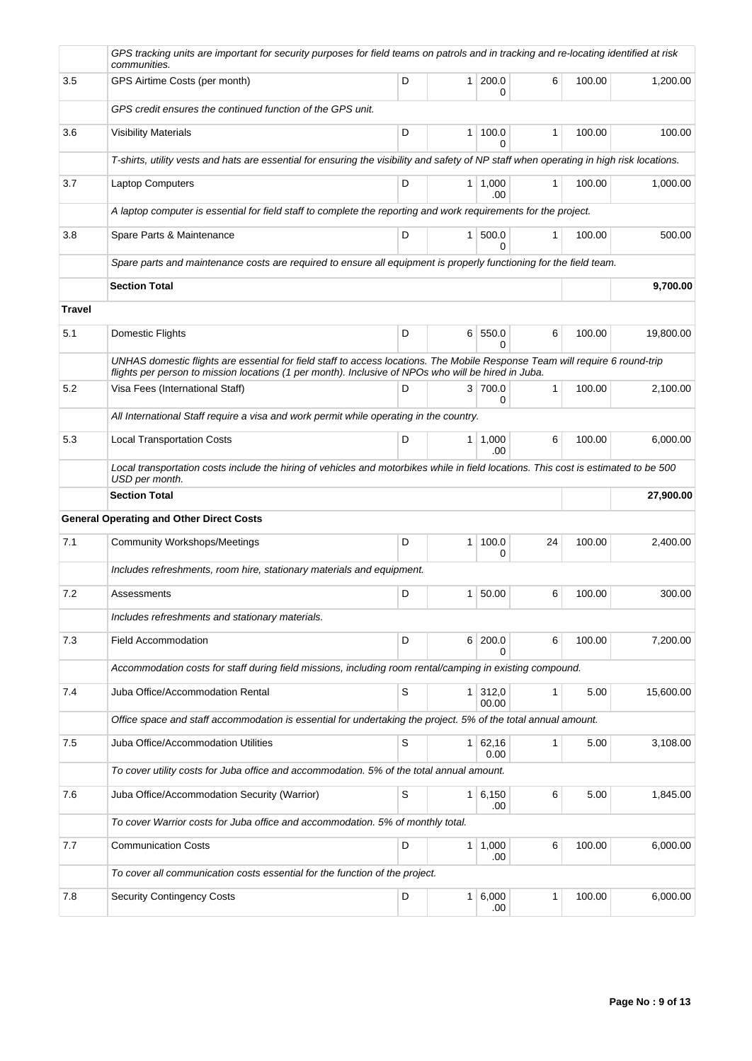|        | GPS tracking units are important for security purposes for field teams on patrols and in tracking and re-locating identified at risk<br>communities.                                                                                |             |                |                         |    |        |           |
|--------|-------------------------------------------------------------------------------------------------------------------------------------------------------------------------------------------------------------------------------------|-------------|----------------|-------------------------|----|--------|-----------|
| 3.5    | GPS Airtime Costs (per month)                                                                                                                                                                                                       | D           |                | 1 200.0<br>0            | 6  | 100.00 | 1,200.00  |
|        | GPS credit ensures the continued function of the GPS unit.                                                                                                                                                                          |             |                |                         |    |        |           |
| 3.6    | <b>Visibility Materials</b>                                                                                                                                                                                                         | D           | 1 <sup>1</sup> | 100.0<br>$\Omega$       | 1  | 100.00 | 100.00    |
|        | T-shirts, utility vests and hats are essential for ensuring the visibility and safety of NP staff when operating in high risk locations.                                                                                            |             |                |                         |    |        |           |
| 3.7    | <b>Laptop Computers</b>                                                                                                                                                                                                             | D           |                | $1 \mid 1,000$<br>.00   | 1  | 100.00 | 1,000.00  |
|        | A laptop computer is essential for field staff to complete the reporting and work requirements for the project.                                                                                                                     |             |                |                         |    |        |           |
| 3.8    | Spare Parts & Maintenance                                                                                                                                                                                                           | D           | 1 <sup>1</sup> | 500.0<br>$\Omega$       | 1  | 100.00 | 500.00    |
|        | Spare parts and maintenance costs are required to ensure all equipment is properly functioning for the field team.                                                                                                                  |             |                |                         |    |        |           |
|        | <b>Section Total</b>                                                                                                                                                                                                                |             |                |                         |    |        | 9,700.00  |
| Travel |                                                                                                                                                                                                                                     |             |                |                         |    |        |           |
| 5.1    | Domestic Flights                                                                                                                                                                                                                    | D           | 6              | 550.0<br>$\Omega$       | 6  | 100.00 | 19,800.00 |
|        | UNHAS domestic flights are essential for field staff to access locations. The Mobile Response Team will require 6 round-trip<br>flights per person to mission locations (1 per month). Inclusive of NPOs who will be hired in Juba. |             |                |                         |    |        |           |
| 5.2    | Visa Fees (International Staff)                                                                                                                                                                                                     | D           |                | 3 700.0<br>$\Omega$     | 1  | 100.00 | 2,100.00  |
|        | All International Staff require a visa and work permit while operating in the country.                                                                                                                                              |             |                |                         |    |        |           |
| 5.3    | <b>Local Transportation Costs</b>                                                                                                                                                                                                   | D           |                | $1 \mid 1,000$<br>.00   | 6  | 100.00 | 6,000.00  |
|        | Local transportation costs include the hiring of vehicles and motorbikes while in field locations. This cost is estimated to be 500<br>USD per month.                                                                               |             |                |                         |    |        |           |
|        | <b>Section Total</b>                                                                                                                                                                                                                |             |                |                         |    |        | 27,900.00 |
|        | <b>General Operating and Other Direct Costs</b>                                                                                                                                                                                     |             |                |                         |    |        |           |
| 7.1    | <b>Community Workshops/Meetings</b>                                                                                                                                                                                                 | D           | 1 <sup>1</sup> | 100.0<br>0              | 24 | 100.00 | 2,400.00  |
|        | Includes refreshments, room hire, stationary materials and equipment.                                                                                                                                                               |             |                |                         |    |        |           |
| 7.2    | Assessments                                                                                                                                                                                                                         | D           | 1 <sup>1</sup> | 50.00                   | 6  | 100.00 | 300.00    |
|        | Includes refreshments and stationary materials.                                                                                                                                                                                     |             |                |                         |    |        |           |
| 7.3    | <b>Field Accommodation</b>                                                                                                                                                                                                          | D           |                | 6 200.0                 | 6  | 100.00 | 7,200.00  |
|        | Accommodation costs for staff during field missions, including room rental/camping in existing compound.                                                                                                                            |             |                |                         |    |        |           |
| 7.4    | Juba Office/Accommodation Rental                                                                                                                                                                                                    | $\mathbb S$ |                | $1 \mid 312,0$<br>00.00 | 1  | 5.00   | 15,600.00 |
|        | Office space and staff accommodation is essential for undertaking the project. 5% of the total annual amount.                                                                                                                       |             |                |                         |    |        |           |
| 7.5    | Juba Office/Accommodation Utilities                                                                                                                                                                                                 | S           |                | $1 \ 62,16$<br>0.00     | 1  | 5.00   | 3,108.00  |
|        | To cover utility costs for Juba office and accommodation. 5% of the total annual amount.                                                                                                                                            |             |                |                         |    |        |           |
| 7.6    | Juba Office/Accommodation Security (Warrior)                                                                                                                                                                                        | S           |                | $1 \ 6,150$<br>.00      | 6  | 5.00   | 1,845.00  |
|        | To cover Warrior costs for Juba office and accommodation. 5% of monthly total.                                                                                                                                                      |             |                |                         |    |        |           |
| 7.7    | <b>Communication Costs</b>                                                                                                                                                                                                          | D           |                | $1 \mid 1,000$<br>.00   | 6  | 100.00 | 6,000.00  |
|        | To cover all communication costs essential for the function of the project.                                                                                                                                                         |             |                |                         |    |        |           |
| 7.8    | <b>Security Contingency Costs</b>                                                                                                                                                                                                   | D           |                | $1 \, 6,000$<br>.00     | 1  | 100.00 | 6,000.00  |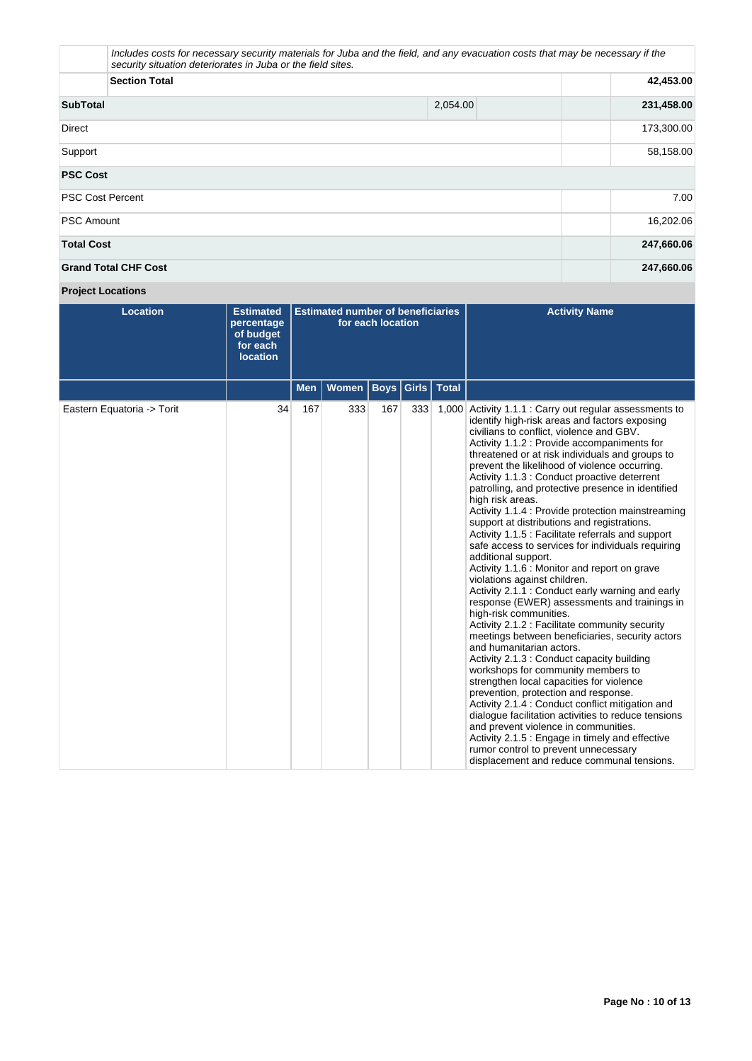| security situation deteriorates in Juba or the field sites. | Includes costs for necessary security materials for Juba and the field, and any evacuation costs that may be necessary if the |            |
|-------------------------------------------------------------|-------------------------------------------------------------------------------------------------------------------------------|------------|
| <b>Section Total</b>                                        | 42,453.00                                                                                                                     |            |
| <b>SubTotal</b>                                             | 2,054.00                                                                                                                      | 231,458.00 |
| <b>Direct</b>                                               |                                                                                                                               | 173,300.00 |
| Support                                                     |                                                                                                                               | 58,158.00  |
| <b>PSC Cost</b>                                             |                                                                                                                               |            |
| <b>PSC Cost Percent</b>                                     |                                                                                                                               | 7.00       |
| <b>PSC Amount</b>                                           |                                                                                                                               | 16,202.06  |
| <b>Total Cost</b>                                           |                                                                                                                               | 247,660.06 |
| <b>Grand Total CHF Cost</b>                                 |                                                                                                                               | 247,660.06 |

# **Project Locations**

| <b>Location</b>            | <b>Estimated</b><br>percentage<br>of budget<br>for each<br><b>location</b> | <b>Estimated number of beneficiaries</b><br>for each location |              |             |       |              | <b>Activity Name</b>                                                                                                                                                                                                                                                                                                                                                                                                                                                                                                                                                                                                                                                                                                                                                                                                                                                                                                                                                                                                                                                                                                                                                                                                                                                                                                                                                                                                                                                               |
|----------------------------|----------------------------------------------------------------------------|---------------------------------------------------------------|--------------|-------------|-------|--------------|------------------------------------------------------------------------------------------------------------------------------------------------------------------------------------------------------------------------------------------------------------------------------------------------------------------------------------------------------------------------------------------------------------------------------------------------------------------------------------------------------------------------------------------------------------------------------------------------------------------------------------------------------------------------------------------------------------------------------------------------------------------------------------------------------------------------------------------------------------------------------------------------------------------------------------------------------------------------------------------------------------------------------------------------------------------------------------------------------------------------------------------------------------------------------------------------------------------------------------------------------------------------------------------------------------------------------------------------------------------------------------------------------------------------------------------------------------------------------------|
|                            |                                                                            | <b>Men</b>                                                    | <b>Women</b> | <b>Boys</b> | Girls | <b>Total</b> |                                                                                                                                                                                                                                                                                                                                                                                                                                                                                                                                                                                                                                                                                                                                                                                                                                                                                                                                                                                                                                                                                                                                                                                                                                                                                                                                                                                                                                                                                    |
| Eastern Equatoria -> Torit | 34                                                                         | 167                                                           | 333          | 167         | 333   | 1,000        | Activity 1.1.1 : Carry out regular assessments to<br>identify high-risk areas and factors exposing<br>civilians to conflict, violence and GBV.<br>Activity 1.1.2 : Provide accompaniments for<br>threatened or at risk individuals and groups to<br>prevent the likelihood of violence occurring.<br>Activity 1.1.3 : Conduct proactive deterrent<br>patrolling, and protective presence in identified<br>high risk areas.<br>Activity 1.1.4 : Provide protection mainstreaming<br>support at distributions and registrations.<br>Activity 1.1.5 : Facilitate referrals and support<br>safe access to services for individuals requiring<br>additional support.<br>Activity 1.1.6 : Monitor and report on grave<br>violations against children.<br>Activity 2.1.1 : Conduct early warning and early<br>response (EWER) assessments and trainings in<br>high-risk communities.<br>Activity 2.1.2 : Facilitate community security<br>meetings between beneficiaries, security actors<br>and humanitarian actors.<br>Activity 2.1.3 : Conduct capacity building<br>workshops for community members to<br>strengthen local capacities for violence<br>prevention, protection and response.<br>Activity 2.1.4 : Conduct conflict mitigation and<br>dialogue facilitation activities to reduce tensions<br>and prevent violence in communities.<br>Activity 2.1.5 : Engage in timely and effective<br>rumor control to prevent unnecessary<br>displacement and reduce communal tensions. |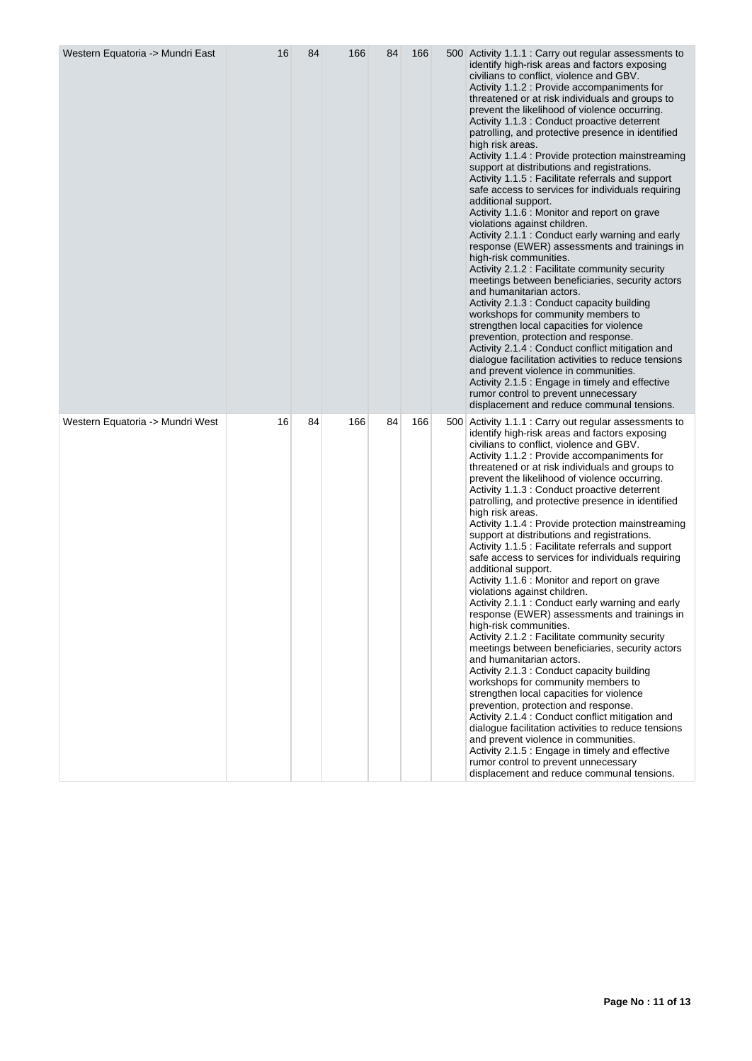| Western Equatoria -> Mundri East | 16 | 84 | 166 | 84 | 166 | 500 Activity 1.1.1 : Carry out regular assessments to<br>identify high-risk areas and factors exposing<br>civilians to conflict, violence and GBV.<br>Activity 1.1.2 : Provide accompaniments for<br>threatened or at risk individuals and groups to<br>prevent the likelihood of violence occurring.<br>Activity 1.1.3 : Conduct proactive deterrent<br>patrolling, and protective presence in identified<br>high risk areas.<br>Activity 1.1.4 : Provide protection mainstreaming<br>support at distributions and registrations.<br>Activity 1.1.5 : Facilitate referrals and support<br>safe access to services for individuals requiring<br>additional support.<br>Activity 1.1.6 : Monitor and report on grave<br>violations against children.<br>Activity 2.1.1 : Conduct early warning and early<br>response (EWER) assessments and trainings in<br>high-risk communities.<br>Activity 2.1.2 : Facilitate community security<br>meetings between beneficiaries, security actors<br>and humanitarian actors.<br>Activity 2.1.3 : Conduct capacity building<br>workshops for community members to<br>strengthen local capacities for violence<br>prevention, protection and response.<br>Activity 2.1.4 : Conduct conflict mitigation and<br>dialogue facilitation activities to reduce tensions<br>and prevent violence in communities.<br>Activity 2.1.5 : Engage in timely and effective<br>rumor control to prevent unnecessary<br>displacement and reduce communal tensions. |
|----------------------------------|----|----|-----|----|-----|----------------------------------------------------------------------------------------------------------------------------------------------------------------------------------------------------------------------------------------------------------------------------------------------------------------------------------------------------------------------------------------------------------------------------------------------------------------------------------------------------------------------------------------------------------------------------------------------------------------------------------------------------------------------------------------------------------------------------------------------------------------------------------------------------------------------------------------------------------------------------------------------------------------------------------------------------------------------------------------------------------------------------------------------------------------------------------------------------------------------------------------------------------------------------------------------------------------------------------------------------------------------------------------------------------------------------------------------------------------------------------------------------------------------------------------------------------------------------------------|
| Western Equatoria -> Mundri West | 16 | 84 | 166 | 84 | 166 | 500 Activity 1.1.1 : Carry out regular assessments to<br>identify high-risk areas and factors exposing<br>civilians to conflict, violence and GBV.<br>Activity 1.1.2 : Provide accompaniments for<br>threatened or at risk individuals and groups to<br>prevent the likelihood of violence occurring.<br>Activity 1.1.3 : Conduct proactive deterrent<br>patrolling, and protective presence in identified<br>high risk areas.<br>Activity 1.1.4 : Provide protection mainstreaming<br>support at distributions and registrations.<br>Activity 1.1.5 : Facilitate referrals and support<br>safe access to services for individuals requiring<br>additional support.<br>Activity 1.1.6 : Monitor and report on grave<br>violations against children.<br>Activity 2.1.1 : Conduct early warning and early<br>response (EWER) assessments and trainings in<br>high-risk communities.<br>Activity 2.1.2 : Facilitate community security<br>meetings between beneficiaries, security actors<br>and humanitarian actors.<br>Activity 2.1.3 : Conduct capacity building<br>workshops for community members to<br>strengthen local capacities for violence<br>prevention, protection and response.<br>Activity 2.1.4 : Conduct conflict mitigation and<br>dialogue facilitation activities to reduce tensions<br>and prevent violence in communities.<br>Activity 2.1.5 : Engage in timely and effective<br>rumor control to prevent unnecessary<br>displacement and reduce communal tensions. |